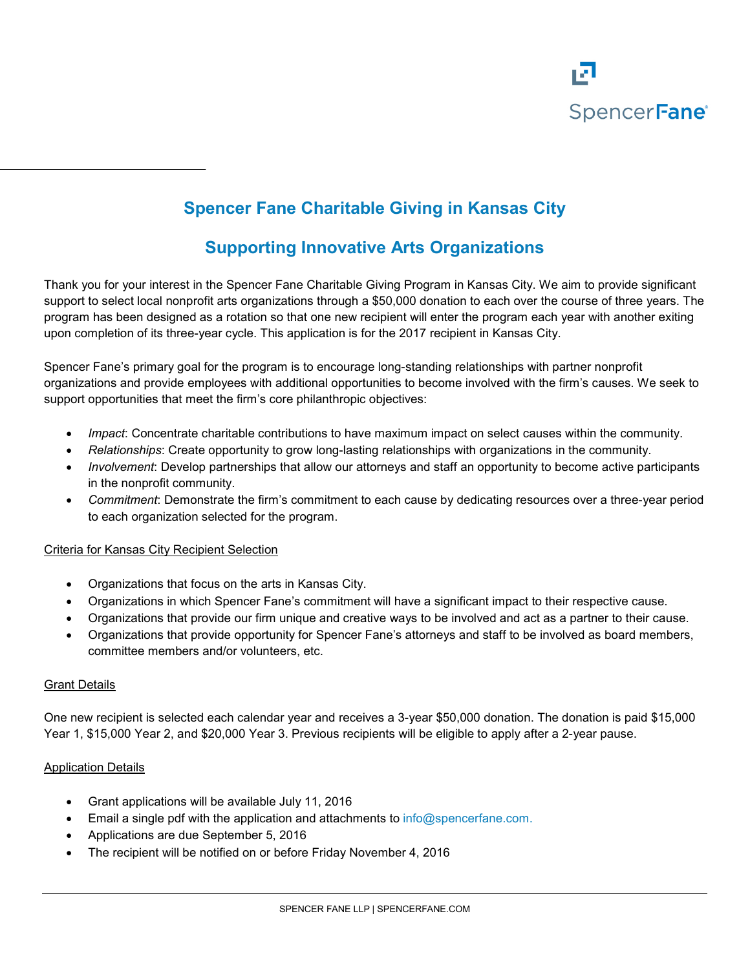

# **Spencer Fane Charitable Giving in Kansas City**

## **Supporting Innovative Arts Organizations**

Thank you for your interest in the Spencer Fane Charitable Giving Program in Kansas City. We aim to provide significant support to select local nonprofit arts organizations through a \$50,000 donation to each over the course of three years. The program has been designed as a rotation so that one new recipient will enter the program each year with another exiting upon completion of its three-year cycle. This application is for the 2017 recipient in Kansas City.

Spencer Fane's primary goal for the program is to encourage long-standing relationships with partner nonprofit organizations and provide employees with additional opportunities to become involved with the firm's causes. We seek to support opportunities that meet the firm's core philanthropic objectives:

- *Impact*: Concentrate charitable contributions to have maximum impact on select causes within the community.
- *Relationships*: Create opportunity to grow long-lasting relationships with organizations in the community.
- *Involvement*: Develop partnerships that allow our attorneys and staff an opportunity to become active participants in the nonprofit community.
- *Commitment*: Demonstrate the firm's commitment to each cause by dedicating resources over a three-year period to each organization selected for the program.

#### Criteria for Kansas City Recipient Selection

- Organizations that focus on the arts in Kansas City.
- Organizations in which Spencer Fane's commitment will have a significant impact to their respective cause.
- Organizations that provide our firm unique and creative ways to be involved and act as a partner to their cause.
- Organizations that provide opportunity for Spencer Fane's attorneys and staff to be involved as board members, committee members and/or volunteers, etc.

#### Grant Details

One new recipient is selected each calendar year and receives a 3-year \$50,000 donation. The donation is paid \$15,000 Year 1, \$15,000 Year 2, and \$20,000 Year 3. Previous recipients will be eligible to apply after a 2-year pause.

#### Application Details

- Grant applications will be available July 11, 2016
- Email a single pdf with the application and attachments to [info@spencerfane.com.](mailto:info@spencerfane.com)
- Applications are due September 5, 2016
- The recipient will be notified on or before Friday November 4, 2016